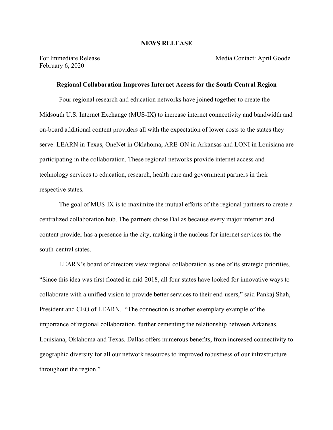## **NEWS RELEASE**

February 6, 2020

For Immediate Release Media Contact: April Goode

## **Regional Collaboration Improves Internet Access for the South Central Region**

Four regional research and education networks have joined together to create the Midsouth U.S. Internet Exchange (MUS-IX) to increase internet connectivity and bandwidth and on-board additional content providers all with the expectation of lower costs to the states they serve. LEARN in Texas, OneNet in Oklahoma, ARE-ON in Arkansas and LONI in Louisiana are participating in the collaboration. These regional networks provide internet access and technology services to education, research, health care and government partners in their respective states.

The goal of MUS-IX is to maximize the mutual efforts of the regional partners to create a centralized collaboration hub. The partners chose Dallas because every major internet and content provider has a presence in the city, making it the nucleus for internet services for the south-central states.

LEARN's board of directors view regional collaboration as one of its strategic priorities. "Since this idea was first floated in mid-2018, all four states have looked for innovative ways to collaborate with a unified vision to provide better services to their end-users," said Pankaj Shah, President and CEO of LEARN. "The connection is another exemplary example of the importance of regional collaboration, further cementing the relationship between Arkansas, Louisiana, Oklahoma and Texas. Dallas offers numerous benefits, from increased connectivity to geographic diversity for all our network resources to improved robustness of our infrastructure throughout the region."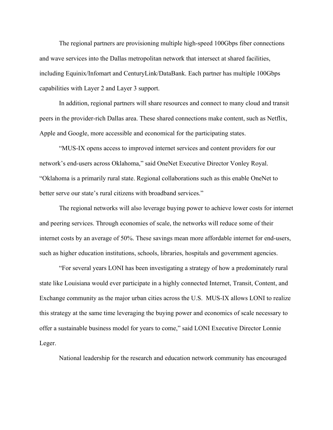The regional partners are provisioning multiple high-speed 100Gbps fiber connections and wave services into the Dallas metropolitan network that intersect at shared facilities, including Equinix/Infomart and CenturyLink/DataBank. Each partner has multiple 100Gbps capabilities with Layer 2 and Layer 3 support.

In addition, regional partners will share resources and connect to many cloud and transit peers in the provider-rich Dallas area. These shared connections make content, such as Netflix, Apple and Google, more accessible and economical for the participating states.

"MUS-IX opens access to improved internet services and content providers for our network's end-users across Oklahoma," said OneNet Executive Director Vonley Royal. "Oklahoma is a primarily rural state. Regional collaborations such as this enable OneNet to better serve our state's rural citizens with broadband services."

The regional networks will also leverage buying power to achieve lower costs for internet and peering services. Through economies of scale, the networks will reduce some of their internet costs by an average of 50%. These savings mean more affordable internet for end-users, such as higher education institutions, schools, libraries, hospitals and government agencies.

"For several years LONI has been investigating a strategy of how a predominately rural state like Louisiana would ever participate in a highly connected Internet, Transit, Content, and Exchange community as the major urban cities across the U.S. MUS-IX allows LONI to realize this strategy at the same time leveraging the buying power and economics of scale necessary to offer a sustainable business model for years to come," said LONI Executive Director Lonnie Leger.

National leadership for the research and education network community has encouraged